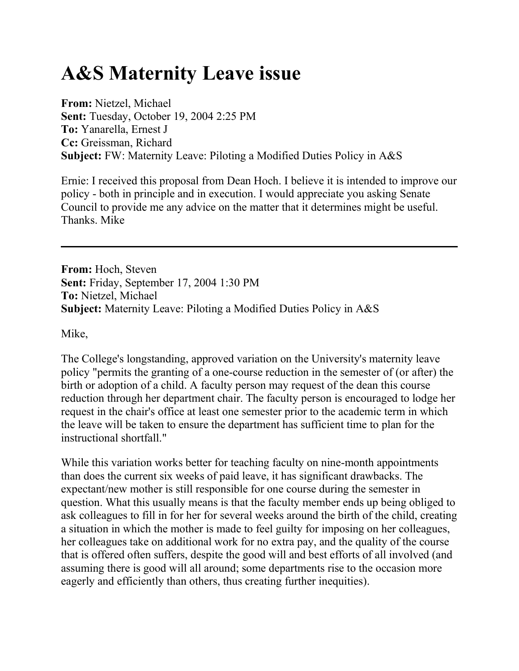## **A&S Maternity Leave issue**

**From:** Nietzel, Michael **Sent:** Tuesday, October 19, 2004 2:25 PM **To:** Yanarella, Ernest J **Cc:** Greissman, Richard **Subject:** FW: Maternity Leave: Piloting a Modified Duties Policy in A&S

Ernie: I received this proposal from Dean Hoch. I believe it is intended to improve our policy - both in principle and in execution. I would appreciate you asking Senate Council to provide me any advice on the matter that it determines might be useful. Thanks. Mike

**From:** Hoch, Steven **Sent:** Friday, September 17, 2004 1:30 PM **To:** Nietzel, Michael **Subject:** Maternity Leave: Piloting a Modified Duties Policy in A&S

Mike,

The College's longstanding, approved variation on the University's maternity leave policy "permits the granting of a one-course reduction in the semester of (or after) the birth or adoption of a child. A faculty person may request of the dean this course reduction through her department chair. The faculty person is encouraged to lodge her request in the chair's office at least one semester prior to the academic term in which the leave will be taken to ensure the department has sufficient time to plan for the instructional shortfall."

While this variation works better for teaching faculty on nine-month appointments than does the current six weeks of paid leave, it has significant drawbacks. The expectant/new mother is still responsible for one course during the semester in question. What this usually means is that the faculty member ends up being obliged to ask colleagues to fill in for her for several weeks around the birth of the child, creating a situation in which the mother is made to feel guilty for imposing on her colleagues, her colleagues take on additional work for no extra pay, and the quality of the course that is offered often suffers, despite the good will and best efforts of all involved (and assuming there is good will all around; some departments rise to the occasion more eagerly and efficiently than others, thus creating further inequities).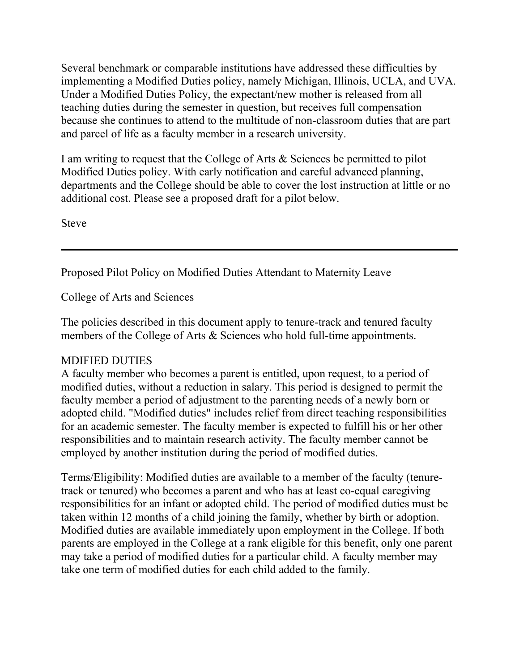Several benchmark or comparable institutions have addressed these difficulties by implementing a Modified Duties policy, namely Michigan, Illinois, UCLA, and UVA. Under a Modified Duties Policy, the expectant/new mother is released from all teaching duties during the semester in question, but receives full compensation because she continues to attend to the multitude of non-classroom duties that are part and parcel of life as a faculty member in a research university.

I am writing to request that the College of Arts & Sciences be permitted to pilot Modified Duties policy. With early notification and careful advanced planning, departments and the College should be able to cover the lost instruction at little or no additional cost. Please see a proposed draft for a pilot below.

Steve

Proposed Pilot Policy on Modified Duties Attendant to Maternity Leave

College of Arts and Sciences

The policies described in this document apply to tenure-track and tenured faculty members of the College of Arts & Sciences who hold full-time appointments.

## MDIFIED DUTIES

A faculty member who becomes a parent is entitled, upon request, to a period of modified duties, without a reduction in salary. This period is designed to permit the faculty member a period of adjustment to the parenting needs of a newly born or adopted child. "Modified duties" includes relief from direct teaching responsibilities for an academic semester. The faculty member is expected to fulfill his or her other responsibilities and to maintain research activity. The faculty member cannot be employed by another institution during the period of modified duties.

Terms/Eligibility: Modified duties are available to a member of the faculty (tenuretrack or tenured) who becomes a parent and who has at least co-equal caregiving responsibilities for an infant or adopted child. The period of modified duties must be taken within 12 months of a child joining the family, whether by birth or adoption. Modified duties are available immediately upon employment in the College. If both parents are employed in the College at a rank eligible for this benefit, only one parent may take a period of modified duties for a particular child. A faculty member may take one term of modified duties for each child added to the family.